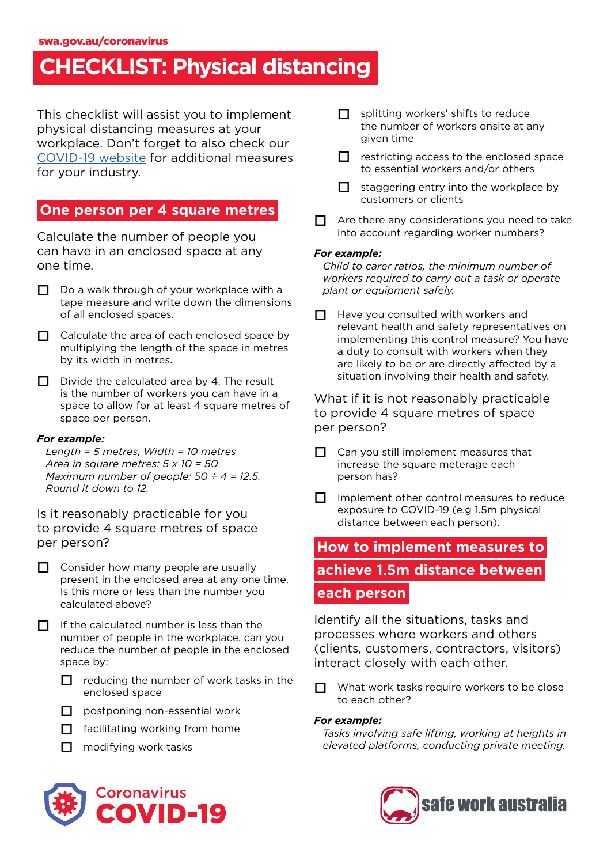## **CHECKLIST: Physical distancing**

This checklist will assist you to implement physical distancing measures at your workplace. Don't forget to also check our [COVID-19 website](https://www.safeworkaustralia.gov.au/covid-19-information-workplaces/industry-information/general-industry-information/physical) for additional measures for your industry.

## **One person per 4 square metres**

Calculate the number of people you can have in an enclosed space at any one time.

- $\Box$  Do a walk through of your workplace with a tape measure and write down the dimensions of all enclosed spaces.
- □ Calculate the area of each enclosed space by multiplying the length of the space in metres by its width in metres.
- $\Box$  Divide the calculated area by 4. The result is the number of workers you can have in a space to allow for at least 4 square metres of space per person.

#### *For example:*

*Length = 5 metres, Width = 10 metres Area in square metres: 5 x 10 = 50 Maximum number of people: 50 ÷ 4 = 12.5. Round it down to 12.*

Is it reasonably practicable for you to provide 4 square metres of space per person?

 $\Box$  Consider how many people are usually present in the enclosed area at any one time. Is this more or less than the number you calculated above?

 $\Pi$  If the calculated number is less than the number of people in the workplace, can you reduce the number of people in the enclosed space by:

- $\Box$  reducing the number of work tasks in the enclosed space
- $\Box$  postponing non-essential work
- $\Box$  facilitating working from home
- $\Box$  modifying work tasks



- $\Box$  splitting workers' shifts to reduce the number of workers onsite at any given time
- $\Box$  restricting access to the enclosed space to essential workers and/or others
- $\Box$  staggering entry into the workplace by customers or clients
- $\Box$  Are there any considerations you need to take into account regarding worker numbers?

#### *For example:*

*Child to carer ratios, the minimum number of workers required to carry out a task or operate plant or equipment safely.*

 $\Box$  Have you consulted with workers and relevant health and safety representatives on implementing this control measure? You have a duty to consult with workers when they are likely to be or are directly affected by a situation involving their health and safety.

What if it is not reasonably practicable to provide 4 square metres of space per person?

- $\Box$  Can you still implement measures that increase the square meterage each person has?
- $\Box$  Implement other control measures to reduce exposure to COVID-19 (e.g 1.5m physical distance between each person).

## **How to implement measures to**

## **achieve 1.5m distance between**

## **each person**

Identify all the situations, tasks and processes where workers and others (clients, customers, contractors, visitors) interact closely with each other.

What work tasks require workers to be close to each other?

#### *For example:*

*Tasks involving safe lifting, working at heights in elevated platforms, conducting private meeting.* 

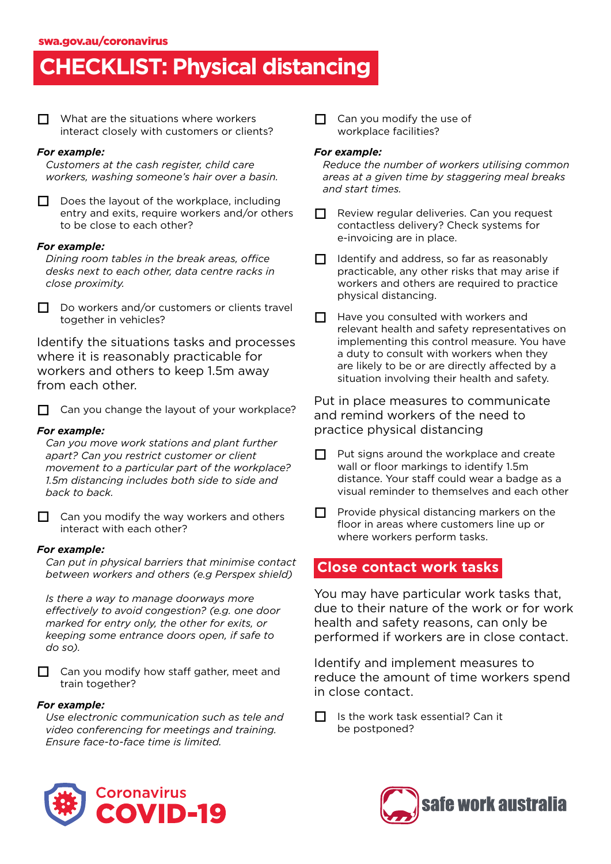# **CHECKLIST: Physical distancing**

 $\Box$  What are the situations where workers interact closely with customers or clients?

#### *For example:*

*Customers at the cash register, child care workers, washing someone's hair over a basin.*

 Does the layout of the workplace, including entry and exits, require workers and/or others to be close to each other?

#### *For example:*

*Dining room tables in the break areas, office desks next to each other, data centre racks in close proximity.*

 $\Box$  Do workers and/or customers or clients travel together in vehicles?

Identify the situations tasks and processes where it is reasonably practicable for workers and others to keep 1.5m away from each other.

 $\Box$  Can you change the layout of your workplace?

#### *For example:*

*Can you move work stations and plant further apart? Can you restrict customer or client movement to a particular part of the workplace? 1.5m distancing includes both side to side and back to back.*

 $\Box$  Can you modify the way workers and others interact with each other?

#### *For example:*

*Can put in physical barriers that minimise contact between workers and others (e.g Perspex shield)*

*Is there a way to manage doorways more effectively to avoid congestion? (e.g. one door marked for entry only, the other for exits, or keeping some entrance doors open, if safe to do so).*

□ Can you modify how staff gather, meet and train together?

#### *For example:*

*Use electronic communication such as tele and video conferencing for meetings and training. Ensure face-to-face time is limited.* 

 $\Box$  Can you modify the use of workplace facilities?

#### *For example:*

*Reduce the number of workers utilising common areas at a given time by staggering meal breaks and start times.*

- Review regular deliveries. Can you request contactless delivery? Check systems for e-invoicing are in place.
- $\Box$  Identify and address, so far as reasonably practicable, any other risks that may arise if workers and others are required to practice physical distancing.
- $\Box$  Have you consulted with workers and relevant health and safety representatives on implementing this control measure. You have a duty to consult with workers when they are likely to be or are directly affected by a situation involving their health and safety.

Put in place measures to communicate and remind workers of the need to practice physical distancing

- $\Box$  Put signs around the workplace and create wall or floor markings to identify 1.5m distance. Your staff could wear a badge as a visual reminder to themselves and each other
- $\Box$  Provide physical distancing markers on the floor in areas where customers line up or where workers perform tasks.

### **Close contact work tasks**

You may have particular work tasks that, due to their nature of the work or for work health and safety reasons, can only be performed if workers are in close contact.

Identify and implement measures to reduce the amount of time workers spend in close contact.

 Is the work task essential? Can it be postponed?